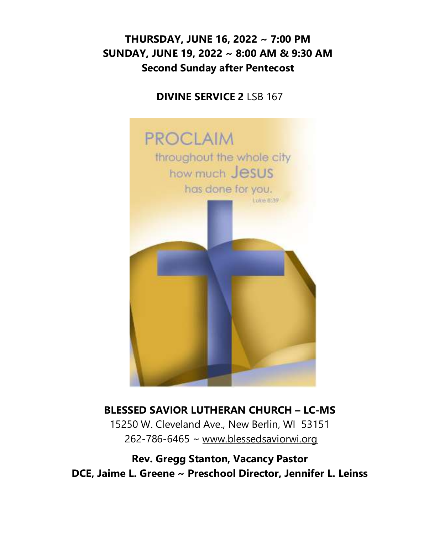# **THURSDAY, JUNE 16, 2022 ~ 7:00 PM SUNDAY, JUNE 19, 2022 ~ 8:00 AM & 9:30 AM Second Sunday after Pentecost**

#### **DIVINE SERVICE 2** LSB 167



# **BLESSED SAVIOR LUTHERAN CHURCH – LC-MS**

15250 W. Cleveland Ave., New Berlin, WI 53151 262-786-6465 ~ [www.blessedsaviorwi.org](http://www.blessedsaviorwi.org/)

**Rev. Gregg Stanton, Vacancy Pastor DCE, Jaime L. Greene ~ Preschool Director, Jennifer L. Leinss**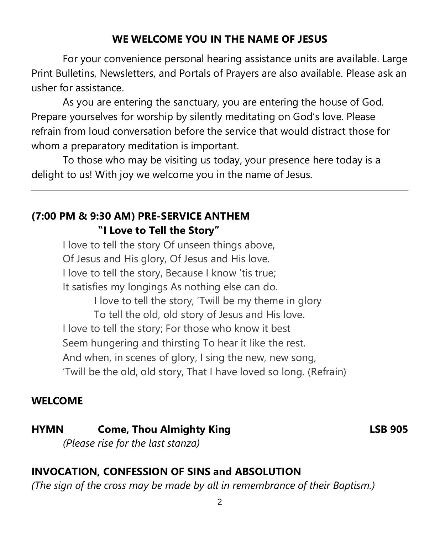### **WE WELCOME YOU IN THE NAME OF JESUS**

For your convenience personal hearing assistance units are available. Large Print Bulletins, Newsletters, and Portals of Prayers are also available. Please ask an usher for assistance.

As you are entering the sanctuary, you are entering the house of God. Prepare yourselves for worship by silently meditating on God's love. Please refrain from loud conversation before the service that would distract those for whom a preparatory meditation is important.

To those who may be visiting us today, your presence here today is a delight to us! With joy we welcome you in the name of Jesus.

# **(7:00 PM & 9:30 AM) PRE-SERVICE ANTHEM "I Love to Tell the Story"**

I love to tell the story Of unseen things above, Of Jesus and His glory, Of Jesus and His love. I love to tell the story, Because I know 'tis true; It satisfies my longings As nothing else can do. I love to tell the story, 'Twill be my theme in glory To tell the old, old story of Jesus and His love. I love to tell the story; For those who know it best Seem hungering and thirsting To hear it like the rest. And when, in scenes of glory, I sing the new, new song, 'Twill be the old, old story, That I have loved so long. (Refrain)

# **WELCOME**

**HYMN Come, Thou Almighty King LSB 905** *(Please rise for the last stanza)*

# **INVOCATION, CONFESSION OF SINS and ABSOLUTION**

*(The sign of the cross may be made by all in remembrance of their Baptism.)*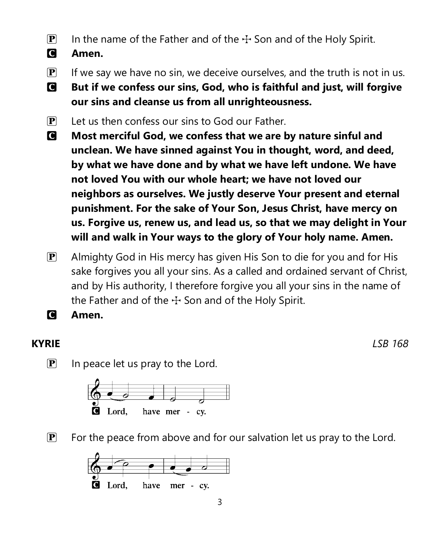- **P** In the name of the Father and of the  $\pm$  Son and of the Holy Spirit.
- C **Amen.**
- $\mathbf{P}$  If we say we have no sin, we deceive ourselves, and the truth is not in us.
- C **But if we confess our sins, God, who is faithful and just, will forgive our sins and cleanse us from all unrighteousness.**
- $\mathbf{P}$  Let us then confess our sins to God our Father.
- C **Most merciful God, we confess that we are by nature sinful and unclean. We have sinned against You in thought, word, and deed, by what we have done and by what we have left undone. We have not loved You with our whole heart; we have not loved our neighbors as ourselves. We justly deserve Your present and eternal punishment. For the sake of Your Son, Jesus Christ, have mercy on us. Forgive us, renew us, and lead us, so that we may delight in Your will and walk in Your ways to the glory of Your holy name. Amen.**
- $\mathbf{P}$  Almighty God in His mercy has given His Son to die for you and for His sake forgives you all your sins. As a called and ordained servant of Christ, and by His authority, I therefore forgive you all your sins in the name of the Father and of the  $\pm$  Son and of the Holy Spirit.
- C **Amen.**

**KYRIE** *LSB 168*

 $\left| \mathbf{P} \right|$  In peace let us pray to the Lord.



 $\mathbf{P}$  For the peace from above and for our salvation let us pray to the Lord.

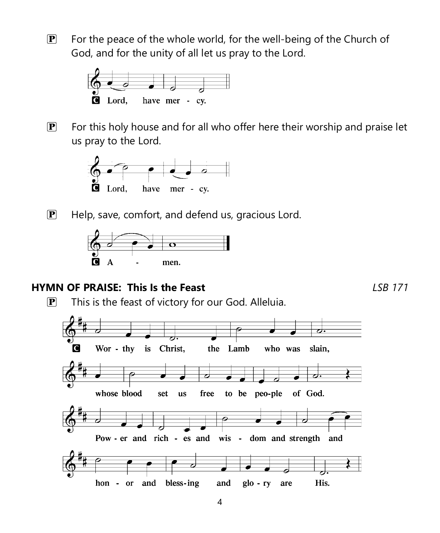$\mathbf{P}$  For the peace of the whole world, for the well-being of the Church of God, and for the unity of all let us pray to the Lord.



 $\mathbf{P}$  For this holy house and for all who offer here their worship and praise let us pray to the Lord.



 $\mathbf{P}$  Help, save, comfort, and defend us, gracious Lord.



#### **HYMN OF PRAISE: This Is the Feast** *LSB 171*

 $\mathbf{P}$  This is the feast of victory for our God. Alleluia.

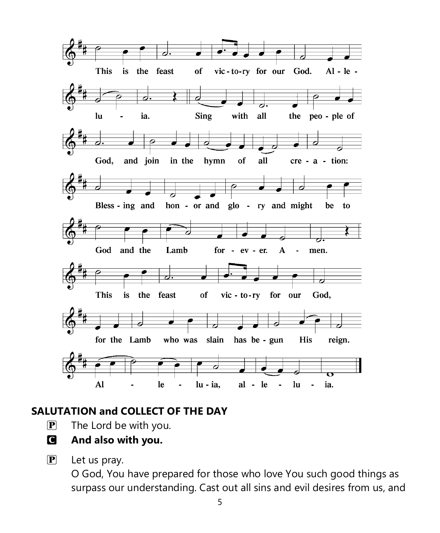

## **SALUTATION and COLLECT OF THE DAY**

- $\mathbf{P}$  The Lord be with you.
- C **And also with you.**
- $\mathbf{P}$  Let us pray.

O God, You have prepared for those who love You such good things as surpass our understanding. Cast out all sins and evil desires from us, and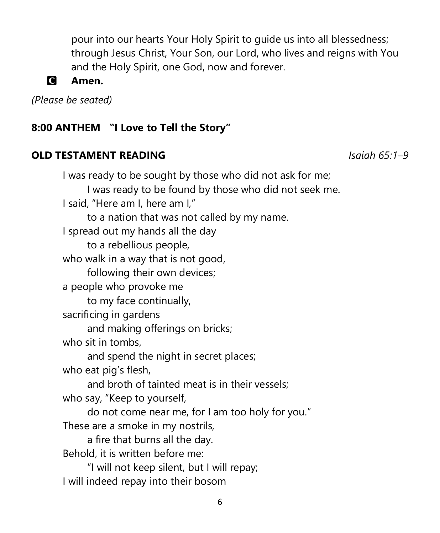pour into our hearts Your Holy Spirit to guide us into all blessedness; through Jesus Christ, Your Son, our Lord, who lives and reigns with You and the Holy Spirit, one God, now and forever.



#### C **Amen.**

*(Please be seated)*

#### **8:00 ANTHEM "I Love to Tell the Story"**

#### **OLD TESTAMENT READING** *Isaiah 65:1–9*

I was ready to be sought by those who did not ask for me; I was ready to be found by those who did not seek me. I said, "Here am I, here am I," to a nation that was not called by my name. I spread out my hands all the day to a rebellious people, who walk in a way that is not good, following their own devices; a people who provoke me to my face continually, sacrificing in gardens and making offerings on bricks; who sit in tombs, and spend the night in secret places; who eat pig's flesh, and broth of tainted meat is in their vessels; who say, "Keep to yourself, do not come near me, for I am too holy for you." These are a smoke in my nostrils, a fire that burns all the day. Behold, it is written before me: "I will not keep silent, but I will repay; I will indeed repay into their bosom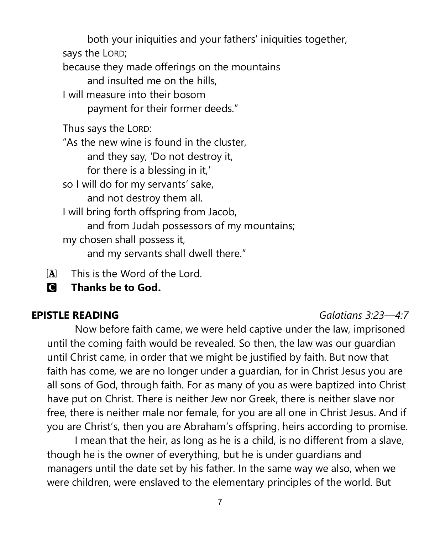both your iniquities and your fathers' iniquities together,

says the LORD;

because they made offerings on the mountains

and insulted me on the hills,

I will measure into their bosom

payment for their former deeds."

Thus says the LORD:

"As the new wine is found in the cluster,

and they say, 'Do not destroy it,

for there is a blessing in it,'

so I will do for my servants' sake,

and not destroy them all.

I will bring forth offspring from Jacob,

and from Judah possessors of my mountains;

my chosen shall possess it,

and my servants shall dwell there."

 $\mathbf{\overline{A}}$  This is the Word of the Lord.

C **Thanks be to God.**

#### **EPISTLE READING** *Galatians 3:23—4:7*

Now before faith came, we were held captive under the law, imprisoned until the coming faith would be revealed. So then, the law was our guardian until Christ came, in order that we might be justified by faith. But now that faith has come, we are no longer under a guardian, for in Christ Jesus you are all sons of God, through faith. For as many of you as were baptized into Christ have put on Christ. There is neither Jew nor Greek, there is neither slave nor free, there is neither male nor female, for you are all one in Christ Jesus. And if you are Christ's, then you are Abraham's offspring, heirs according to promise.

I mean that the heir, as long as he is a child, is no different from a slave, though he is the owner of everything, but he is under guardians and managers until the date set by his father. In the same way we also, when we were children, were enslaved to the elementary principles of the world. But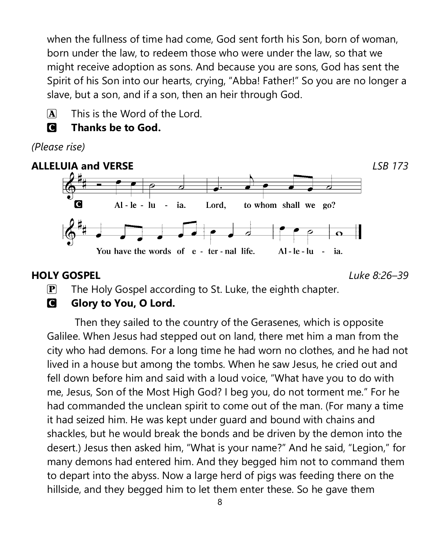when the fullness of time had come, God sent forth his Son, born of woman, born under the law, to redeem those who were under the law, so that we might receive adoption as sons. And because you are sons, God has sent the Spirit of his Son into our hearts, crying, "Abba! Father!" So you are no longer a slave, but a son, and if a son, then an heir through God.

 $\mathbf{\overline{A}}$  This is the Word of the Lord.

C **Thanks be to God.**

*(Please rise)*



#### **HOLY GOSPEL** *Luke 8:26–39*

 $\mathbf{P}$  The Holy Gospel according to St. Luke, the eighth chapter.

### **C** Glory to You, O Lord.

Then they sailed to the country of the Gerasenes, which is opposite Galilee. When Jesus had stepped out on land, there met him a man from the city who had demons. For a long time he had worn no clothes, and he had not lived in a house but among the tombs. When he saw Jesus, he cried out and fell down before him and said with a loud voice, "What have you to do with me, Jesus, Son of the Most High God? I beg you, do not torment me." For he had commanded the unclean spirit to come out of the man. (For many a time it had seized him. He was kept under guard and bound with chains and shackles, but he would break the bonds and be driven by the demon into the desert.) Jesus then asked him, "What is your name?" And he said, "Legion," for many demons had entered him. And they begged him not to command them to depart into the abyss. Now a large herd of pigs was feeding there on the hillside, and they begged him to let them enter these. So he gave them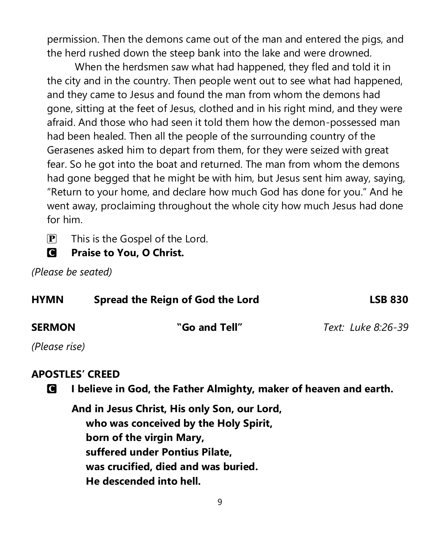permission. Then the demons came out of the man and entered the pigs, and the herd rushed down the steep bank into the lake and were drowned.

When the herdsmen saw what had happened, they fled and told it in the city and in the country. Then people went out to see what had happened, and they came to Jesus and found the man from whom the demons had gone, sitting at the feet of Jesus, clothed and in his right mind, and they were afraid. And those who had seen it told them how the demon-possessed man had been healed. Then all the people of the surrounding country of the Gerasenes asked him to depart from them, for they were seized with great fear. So he got into the boat and returned. The man from whom the demons had gone begged that he might be with him, but Jesus sent him away, saying, "Return to your home, and declare how much God has done for you." And he went away, proclaiming throughout the whole city how much Jesus had done for him.

 $\left| \mathbf{P} \right|$  This is the Gospel of the Lord.

C **Praise to You, O Christ.**

*(Please be seated)*

| <b>HYMN</b>   | Spread the Reign of God the Lord | <b>LSB 830</b>     |  |
|---------------|----------------------------------|--------------------|--|
| <b>SERMON</b> | "Go and Tell"                    | Text: Luke 8:26-39 |  |
| (Please rise) |                                  |                    |  |

#### **APOSTLES' CREED**

C **I believe in God, the Father Almighty, maker of heaven and earth.**

**And in Jesus Christ, His only Son, our Lord, who was conceived by the Holy Spirit, born of the virgin Mary, suffered under Pontius Pilate, was crucified, died and was buried. He descended into hell.**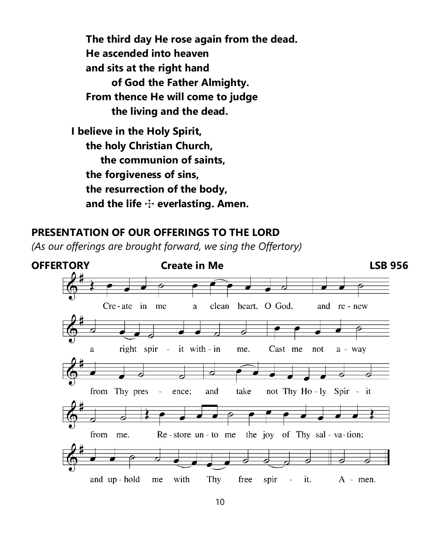**The third day He rose again from the dead. He ascended into heaven and sits at the right hand of God the Father Almighty. From thence He will come to judge the living and the dead.**

**I believe in the Holy Spirit, the holy Christian Church, the communion of saints, the forgiveness of sins, the resurrection of the body, and the life** T **everlasting. Amen.**

#### **PRESENTATION OF OUR OFFERINGS TO THE LORD**

*(As our offerings are brought forward, we sing the Offertory)*

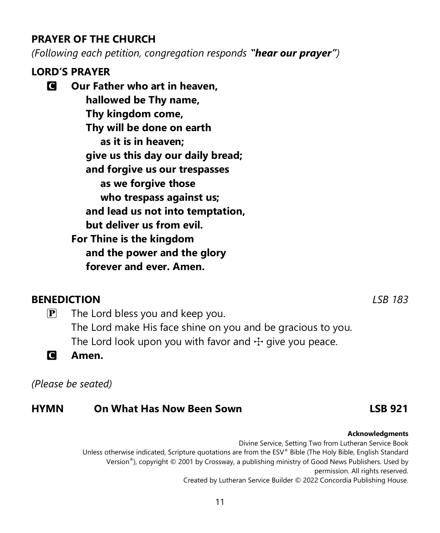#### **PRAYER OF THE CHURCH**

*(Following each petition, congregation responds "hear our prayer")*

### **LORD'S PRAYER**

C **Our Father who art in heaven, hallowed be Thy name, Thy kingdom come, Thy will be done on earth as it is in heaven; give us this day our daily bread; and forgive us our trespasses as we forgive those who trespass against us; and lead us not into temptation, but deliver us from evil. For Thine is the kingdom and the power and the glory forever and ever. Amen.**

#### **BENEDICTION** *LSB 183*

 $\mathbf{P}$  The Lord bless you and keep you. The Lord make His face shine on you and be gracious to you. The Lord look upon you with favor and  $\pm$  give you peace.

C **Amen.**

*(Please be seated)*

#### **HYMN On What Has Now Been Sown LSB 921**

Divine Service, Setting Two from Lutheran Service Book Unless otherwise indicated, Scripture quotations are from the ESV® Bible (The Holy Bible, English Standard Version®), copyright © 2001 by Crossway, a publishing ministry of Good News Publishers. Used by permission. All rights reserved. Created by Lutheran Service Builder © 2022 Concordia Publishing House.